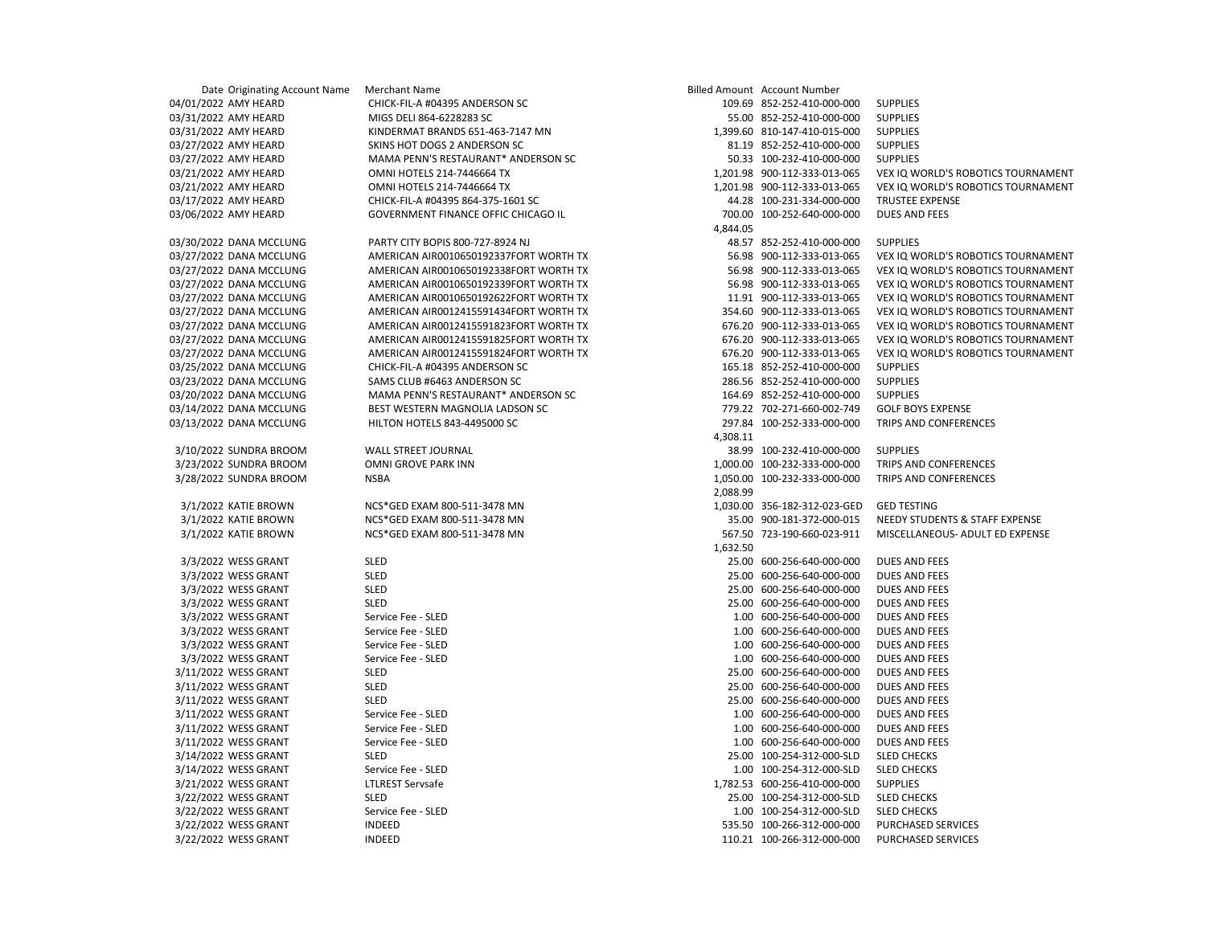| Date Originating Account Name | Merchant Name                          |          | <b>Billed Amount</b> Account Number |                                    |
|-------------------------------|----------------------------------------|----------|-------------------------------------|------------------------------------|
| 04/01/2022 AMY HEARD          | CHICK-FIL-A #04395 ANDERSON SC         |          | 109.69 852-252-410-000-000          | <b>SUPPLIES</b>                    |
| 03/31/2022 AMY HEARD          | MIGS DELI 864-6228283 SC               |          | 55.00 852-252-410-000-000           | <b>SUPPLIES</b>                    |
| 03/31/2022 AMY HEARD          | KINDERMAT BRANDS 651-463-7147 MN       |          | 1,399.60 810-147-410-015-000        | <b>SUPPLIES</b>                    |
| 03/27/2022 AMY HEARD          | SKINS HOT DOGS 2 ANDERSON SC           |          | 81.19 852-252-410-000-000           | <b>SUPPLIES</b>                    |
| 03/27/2022 AMY HEARD          | MAMA PENN'S RESTAURANT* ANDERSON SC    |          | 50.33 100-232-410-000-000           | <b>SUPPLIES</b>                    |
| 03/21/2022 AMY HEARD          | OMNI HOTELS 214-7446664 TX             |          | 1,201.98 900-112-333-013-065        | VEX IQ WORLD'S ROBOTICS TOURNAMENT |
| 03/21/2022 AMY HEARD          | OMNI HOTELS 214-7446664 TX             |          | 1,201.98 900-112-333-013-065        | VEX IQ WORLD'S ROBOTICS TOURNAMENT |
| 03/17/2022 AMY HEARD          | CHICK-FIL-A #04395 864-375-1601 SC     |          | 44.28 100-231-334-000-000           | <b>TRUSTEE EXPENSE</b>             |
| 03/06/2022 AMY HEARD          | GOVERNMENT FINANCE OFFIC CHICAGO IL    |          | 700.00 100-252-640-000-000          | <b>DUES AND FEES</b>               |
|                               |                                        | 4,844.05 |                                     |                                    |
| 03/30/2022 DANA MCCLUNG       | PARTY CITY BOPIS 800-727-8924 NJ       |          | 48.57 852-252-410-000-000           | <b>SUPPLIES</b>                    |
| 03/27/2022 DANA MCCLUNG       | AMERICAN AIR0010650192337FORT WORTH TX |          | 56.98 900-112-333-013-065           | VEX IQ WORLD'S ROBOTICS TOURNAMENT |
| 03/27/2022 DANA MCCLUNG       | AMERICAN AIR0010650192338FORT WORTH TX |          | 56.98 900-112-333-013-065           | VEX IQ WORLD'S ROBOTICS TOURNAMENT |
| 03/27/2022 DANA MCCLUNG       | AMERICAN AIR0010650192339FORT WORTH TX |          | 56.98 900-112-333-013-065           | VEX IQ WORLD'S ROBOTICS TOURNAMENT |
| 03/27/2022 DANA MCCLUNG       | AMERICAN AIR0010650192622FORT WORTH TX |          | 11.91 900-112-333-013-065           | VEX IQ WORLD'S ROBOTICS TOURNAMENT |
| 03/27/2022 DANA MCCLUNG       | AMERICAN AIR0012415591434FORT WORTH TX |          | 354.60 900-112-333-013-065          | VEX IQ WORLD'S ROBOTICS TOURNAMENT |
| 03/27/2022 DANA MCCLUNG       | AMERICAN AIR0012415591823FORT WORTH TX |          | 676.20 900-112-333-013-065          | VEX IQ WORLD'S ROBOTICS TOURNAMENT |
| 03/27/2022 DANA MCCLUNG       | AMERICAN AIR0012415591825FORT WORTH TX |          | 676.20 900-112-333-013-065          | VEX IQ WORLD'S ROBOTICS TOURNAMENT |
| 03/27/2022 DANA MCCLUNG       | AMERICAN AIR0012415591824FORT WORTH TX |          | 676.20 900-112-333-013-065          | VEX IQ WORLD'S ROBOTICS TOURNAMENT |
| 03/25/2022 DANA MCCLUNG       | CHICK-FIL-A #04395 ANDERSON SC         |          | 165.18 852-252-410-000-000          | <b>SUPPLIES</b>                    |
| 03/23/2022 DANA MCCLUNG       | SAMS CLUB #6463 ANDERSON SC            |          | 286.56 852-252-410-000-000          | <b>SUPPLIES</b>                    |
| 03/20/2022 DANA MCCLUNG       | MAMA PENN'S RESTAURANT* ANDERSON SC    |          | 164.69 852-252-410-000-000          | <b>SUPPLIES</b>                    |
|                               | BEST WESTERN MAGNOLIA LADSON SC        |          | 779.22 702-271-660-002-749          | <b>GOLF BOYS EXPENSE</b>           |
| 03/14/2022 DANA MCCLUNG       |                                        |          |                                     |                                    |
| 03/13/2022 DANA MCCLUNG       | HILTON HOTELS 843-4495000 SC           |          | 297.84 100-252-333-000-000          | TRIPS AND CONFERENCES              |
|                               |                                        | 4,308.11 |                                     |                                    |
| 3/10/2022 SUNDRA BROOM        | WALL STREET JOURNAL                    |          | 38.99 100-232-410-000-000           | <b>SUPPLIES</b>                    |
| 3/23/2022 SUNDRA BROOM        | OMNI GROVE PARK INN<br><b>NSBA</b>     |          | 1,000.00 100-232-333-000-000        | TRIPS AND CONFERENCES              |
| 3/28/2022 SUNDRA BROOM        |                                        | 2,088.99 | 1,050.00 100-232-333-000-000        | TRIPS AND CONFERENCES              |
| 3/1/2022 KATIE BROWN          | NCS*GED EXAM 800-511-3478 MN           |          | 1,030.00 356-182-312-023-GED        | <b>GED TESTING</b>                 |
| 3/1/2022 KATIE BROWN          | NCS*GED EXAM 800-511-3478 MN           |          | 35.00 900-181-372-000-015           | NEEDY STUDENTS & STAFF EXPENSE     |
| 3/1/2022 KATIE BROWN          | NCS*GED EXAM 800-511-3478 MN           |          | 567.50 723-190-660-023-911          | MISCELLANEOUS- ADULT ED EXPENSE    |
|                               |                                        | 1,632.50 |                                     |                                    |
| 3/3/2022 WESS GRANT           | <b>SLED</b>                            |          | 25.00 600-256-640-000-000           | <b>DUES AND FEES</b>               |
| 3/3/2022 WESS GRANT           | <b>SLED</b>                            |          | 25.00 600-256-640-000-000           | DUES AND FEES                      |
| 3/3/2022 WESS GRANT           | <b>SLED</b>                            |          | 25.00 600-256-640-000-000           | <b>DUES AND FEES</b>               |
| 3/3/2022 WESS GRANT           | <b>SLED</b>                            |          | 25.00 600-256-640-000-000           | <b>DUES AND FEES</b>               |
| 3/3/2022 WESS GRANT           | Service Fee - SLED                     |          | 1.00 600-256-640-000-000            | <b>DUES AND FEES</b>               |
| 3/3/2022 WESS GRANT           | Service Fee - SLED                     |          | 1.00 600-256-640-000-000            | <b>DUES AND FEES</b>               |
| 3/3/2022 WESS GRANT           | Service Fee - SLED                     |          | 1.00 600-256-640-000-000            | <b>DUES AND FEES</b>               |
| 3/3/2022 WESS GRANT           | Service Fee - SLED                     |          | 1.00 600-256-640-000-000            | DUES AND FEES                      |
| 3/11/2022 WESS GRANT          | <b>SLED</b>                            |          | 25.00 600-256-640-000-000           | <b>DUES AND FEES</b>               |
| 3/11/2022 WESS GRANT          | <b>SLED</b>                            |          | 25.00 600-256-640-000-000           | <b>DUES AND FEES</b>               |
| 3/11/2022 WESS GRANT          | <b>SLED</b>                            |          | 25.00 600-256-640-000-000           | DUES AND FEES                      |
| 3/11/2022 WESS GRANT          | Service Fee - SLED                     |          | 1.00 600-256-640-000-000            | <b>DUES AND FEES</b>               |
| 3/11/2022 WESS GRANT          | Service Fee - SLED                     |          | 1.00 600-256-640-000-000            | DUES AND FEES                      |
| 3/11/2022 WESS GRANT          | Service Fee - SLED                     |          | 1.00 600-256-640-000-000            | DUES AND FEES                      |
| 3/14/2022 WESS GRANT          | <b>SLED</b>                            |          | 25.00 100-254-312-000-SLD           | <b>SLED CHECKS</b>                 |
| 3/14/2022 WESS GRANT          | Service Fee - SLED                     |          | 1.00 100-254-312-000-SLD            | <b>SLED CHECKS</b>                 |
| 3/21/2022 WESS GRANT          | <b>LTLREST Servsafe</b>                |          | 1,782.53 600-256-410-000-000        | <b>SUPPLIES</b>                    |
| 3/22/2022 WESS GRANT          | <b>SLED</b>                            |          | 25.00 100-254-312-000-SLD           | <b>SLED CHECKS</b>                 |
| 3/22/2022 WESS GRANT          | Service Fee - SLED                     |          | 1.00 100-254-312-000-SLD            | <b>SLED CHECKS</b>                 |
| 3/22/2022 WESS GRANT          | <b>INDEED</b>                          |          | 535.50 100-266-312-000-000          | PURCHASED SERVICES                 |
| 3/22/2022 WESS GRANT          | <b>INDEED</b>                          |          | 110.21 100-266-312-000-000          | PURCHASED SERVICES                 |
|                               |                                        |          |                                     |                                    |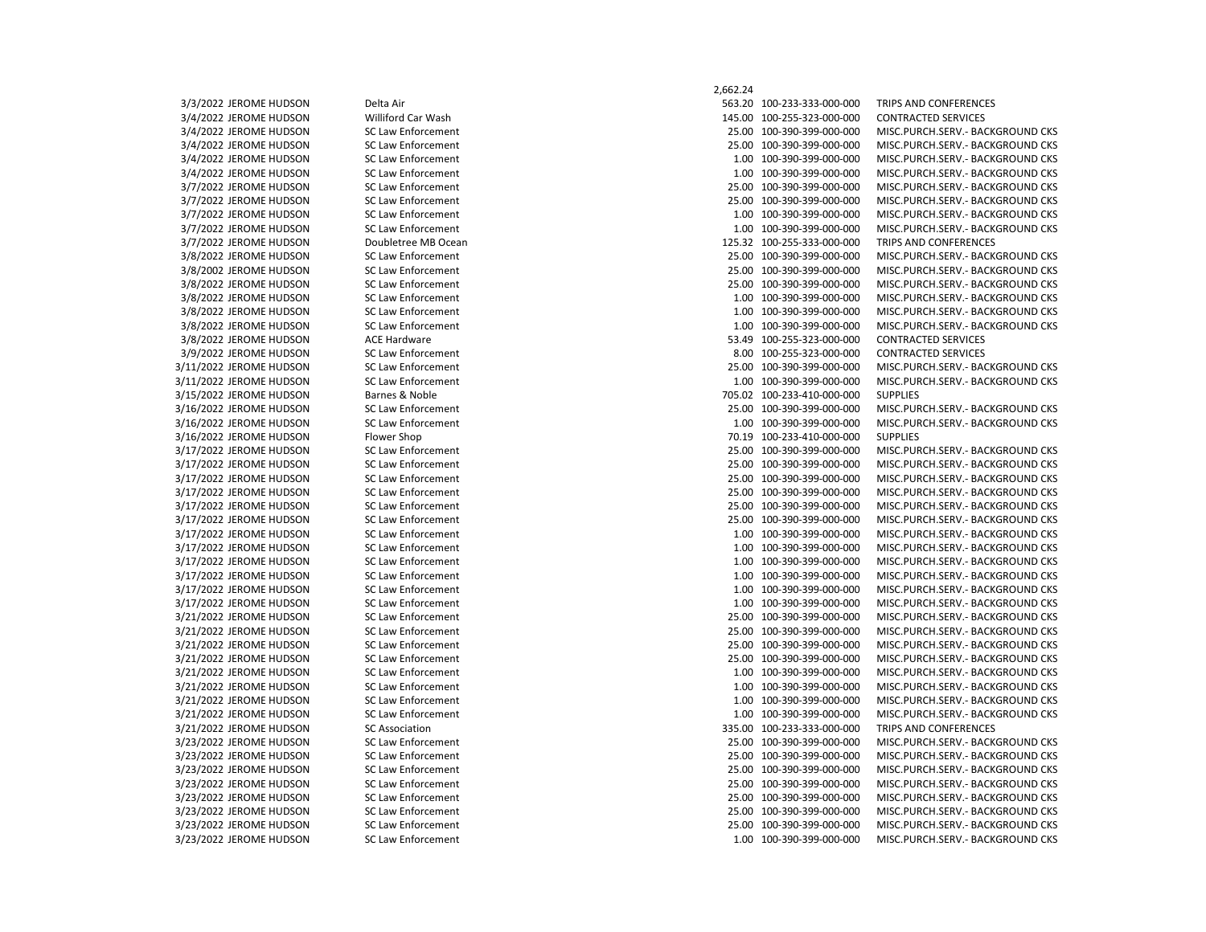## 2,662.24 3/3/2022 JEROME HUDSON Delta Air 563.20 100-233-333-000-000 TRIPS AND CONFERENCES 3/4/2022 JEROME HUDSON Williford Car Wash 145.00 100-255-323-000-000 CONTRACTED SERVICES 3/4/2022 JEROME HUDSON SC Law Enforcement 25.00 100-390-399-000-000 MISC.PURCH.SERV.- BACKGROUND CKS 3/4/2022 JEROME HUDSON SC Law Enforcement 25.00 100-390-399-000-000 MISC.PURCH.SERV.- BACKGROUND CKS 3/4/2022 JEROME HUDSON SC Law Enforcement 1.00 100-390-399-000-000 MISC.PURCH.SERV.- BACKGROUND CKS 3/4/2022 JEROME HUDSON SC Law Enforcement 1.00 100-390-399-000-000 MISC.PURCH.SERV.- BACKGROUND CKS 3/7/2022 JEROME HUDSON SC Law Enforcement 25.00 100-390-399-000-000 MISC.PURCH.SERV.- BACKGROUND CKS 3/7/2022 JEROME HUDSON SC Law Enforcement 25.00 100-390-399-000-000 MISC.PURCH.SERV.- BACKGROUND CKS 3/7/2022 JEROME HUDSON SC Law Enforcement 1.00 100-390-399-000-000 MISC.PURCH.SERV.- BACKGROUND CKS 3/7/2022 JEROME HUDSON SC Law Enforcement 1.00 100-390-399-000-000 MISC.PURCH.SERV.- BACKGROUND CKS 3/7/2022 JEROME HUDSON Doubletree MB Ocean 125.32 100-255-333-000-000 TRIPS AND CONFERENCES 3/8/2022 JEROME HUDSON SC Law Enforcement 25.00 100-390-399-000-000 MISC.PURCH.SERV.- BACKGROUND CKS 3/8/2002 JEROME HUDSON SC Law Enforcement 25.00 100-390-399-000-000 MISC.PURCH.SERV.- BACKGROUND CKS 3/8/2022 JEROME HUDSON SC Law Enforcement 25.00 100-390-399-000-000 MISC.PURCH.SERV.- BACKGROUND CKS 3/8/2022 JEROME HUDSON SC Law Enforcement 1.00 100-390-399-000-000 MISC.PURCH.SERV.- BACKGROUND CKS 3/8/2022 JEROME HUDSON SC Law Enforcement 1.00 100-390-399-000-000 MISC.PURCH.SERV.- BACKGROUND CKS 3/8/2022 JEROME HUDSON SC Law Enforcement 1.00 100-390-399-000-000 MISC.PURCH.SERV.- BACKGROUND CKS 3/8/2022 JEROME HUDSON ACE Hardware 53.49 100-255-323-000-000 CONTRACTED SERVICES 3/9/2022 JEROME HUDSON SC Law Enforcement 8.00 100-255-323-000-000 CONTRACTED SERVICES 3/11/2022 JEROME HUDSON SC Law Enforcement 25.00 100-390-399-000-000 MISC.PURCH.SERV.- BACKGROUND CKS 3/11/2022 JEROME HUDSON SC Law Enforcement 1.00 100-390-390-390-390-000 MISC.PURCH.SERV.- BACKGROUND CKS 3/15/2022 JEROME HUDSON Barnes & Noble 705.02 100-233-410-000-000 SUPPLIES 3/16/2022 JEROME HUDSON SC Law Enforcement 25.00 100-390-399-000-000 MISC.PURCH.SERV.- BACKGROUND CKS 3/16/2022 JEROME HUDSON SC Law Enforcement 1.00 100-390-399-000-000 MISC.PURCH.SERV.- BACKGROUND CKS 3/16/2022 JEROME HUDSON Flower Shop 70.19 100-233-410-000-000 SUPPLIES 3/17/2022 JEROME HUDSON SC Law Enforcement 25.00 100-390-399-000-000 MISC.PURCH.SERV.- BACKGROUND CKS 3/17/2022 JEROME HUDSON SC Law Enforcement 25.00 100-390-399-000-000 MISC.PURCH.SERV.- BACKGROUND CKS 3/17/2022 JEROME HUDSON SC Law Enforcement 25.00 100-390-399-000-000 MISC.PURCH.SERV.- BACKGROUND CKS 3/17/2022 JEROME HUDSON SC Law Enforcement 25.00 100-390-399-000-000 MISC.PURCH.SERV.- BACKGROUND CKS 3/17/2022 JEROME HUDSON SC Law Enforcement 25.00 100-390-399-000-000 MISC.PURCH.SERV.- BACKGROUND CKS 3/17/2022 JEROME HUDSON SC Law Enforcement 25.00 100-390-399-000-000 MISC.PURCH.SERV.- BACKGROUND CKS 3/17/2022 JEROME HUDSON SC Law Enforcement 1.00 100-390-399-000-000 MISC.PURCH.SERV.- BACKGROUND CKS 3/17/2022 JEROME HUDSON SC Law Enforcement 1.00 100-390-399-000-000 MISC.PURCH.SERV.- BACKGROUND CKS 3/17/2022 JEROME HUDSON SC Law Enforcement 1.00 100-390-399-000-000 MISC.PURCH.SERV.- BACKGROUND CKS 3/17/2022 JEROME HUDSON SC Law Enforcement 1.00 100-390-399-000-000 MISC.PURCH.SERV.- BACKGROUND CKS 3/17/2022 JEROME HUDSON SC Law Enforcement 1.00 100-390-399-000-000 MISC.PURCH.SERV.- BACKGROUND CKS 3/17/2022 JEROME HUDSON SC Law Enforcement 1.00 100-390-399-000-000 MISC.PURCH.SERV.- BACKGROUND CKS 3/21/2022 JEROME HUDSON SC Law Enforcement 25.00 100-390-399-000-000 MISC.PURCH.SERV.- BACKGROUND CKS 3/21/2022 JEROME HUDSON SC Law Enforcement 25.00 100-390-399-000-000 MISC.PURCH.SERV.- BACKGROUND CKS 3/21/2022 JEROME HUDSON SC Law Enforcement 25.00 100-390-399-000-000 MISC.PURCH.SERV.- BACKGROUND CKS 3/21/2022 JEROME HUDSON SC Law Enforcement 25.00 100-390-399-000-000 MISC.PURCH.SERV.- BACKGROUND CKS 3/21/2022 JEROME HUDSON SC Law Enforcement 1.00 100-390-399-000-000 MISC.PURCH.SERV.- BACKGROUND CKS 3/21/2022 JEROME HUDSON SC Law Enforcement 1.00 100-390-399-000-000 MISC.PURCH.SERV.- BACKGROUND CKS 3/21/2022 JEROME HUDSON SC Law Enforcement 1.00 100-390-399-000-000 MISC.PURCH.SERV.- BACKGROUND CKS 3/21/2022 JEROME HUDSON SC Law Enforcement 1.00 100-390-399-000-000 MISC.PURCH.SERV.- BACKGROUND CKS 3/21/2022 JEROME HUDSON SC Association 335.00 100-233-333-000-000 TRIPS AND CONFERENCES 3/23/2022 JEROME HUDSON SC Law Enforcement 25.00 100-390-399-000-000 MISC.PURCH.SERV.- BACKGROUND CKS 3/23/2022 JEROME HUDSON SC Law Enforcement 25.00 100-390-399-000-000 MISC.PURCH.SERV.- BACKGROUND CKS 3/23/2022 JEROME HUDSON SC Law Enforcement 25.00 100-390-399-000-000 MISC.PURCH.SERV.- BACKGROUND CKS 3/23/2022 JEROME HUDSON SC Law Enforcement 25.00 100-390-399-000-000 MISC.PURCH.SERV.- BACKGROUND CKS 3/23/2022 JEROME HUDSON SC Law Enforcement 25.00 100-390-399-000-000 MISC.PURCH.SERV.- BACKGROUND CKS 3/23/2022 JEROME HUDSON SC Law Enforcement 25.00 100-390-399-000-000 MISC.PURCH.SERV.- BACKGROUND CKS 3/23/2022 JEROME HUDSON SC Law Enforcement 25.00 100-390-399-000-000 MISC.PURCH.SERV.- BACKGROUND CKS 3/23/2022 JEROME HUDSON SC Law Enforcement 1.00 100-390-399-000-000 MISC.PURCH.SERV.- BACKGROUND CKS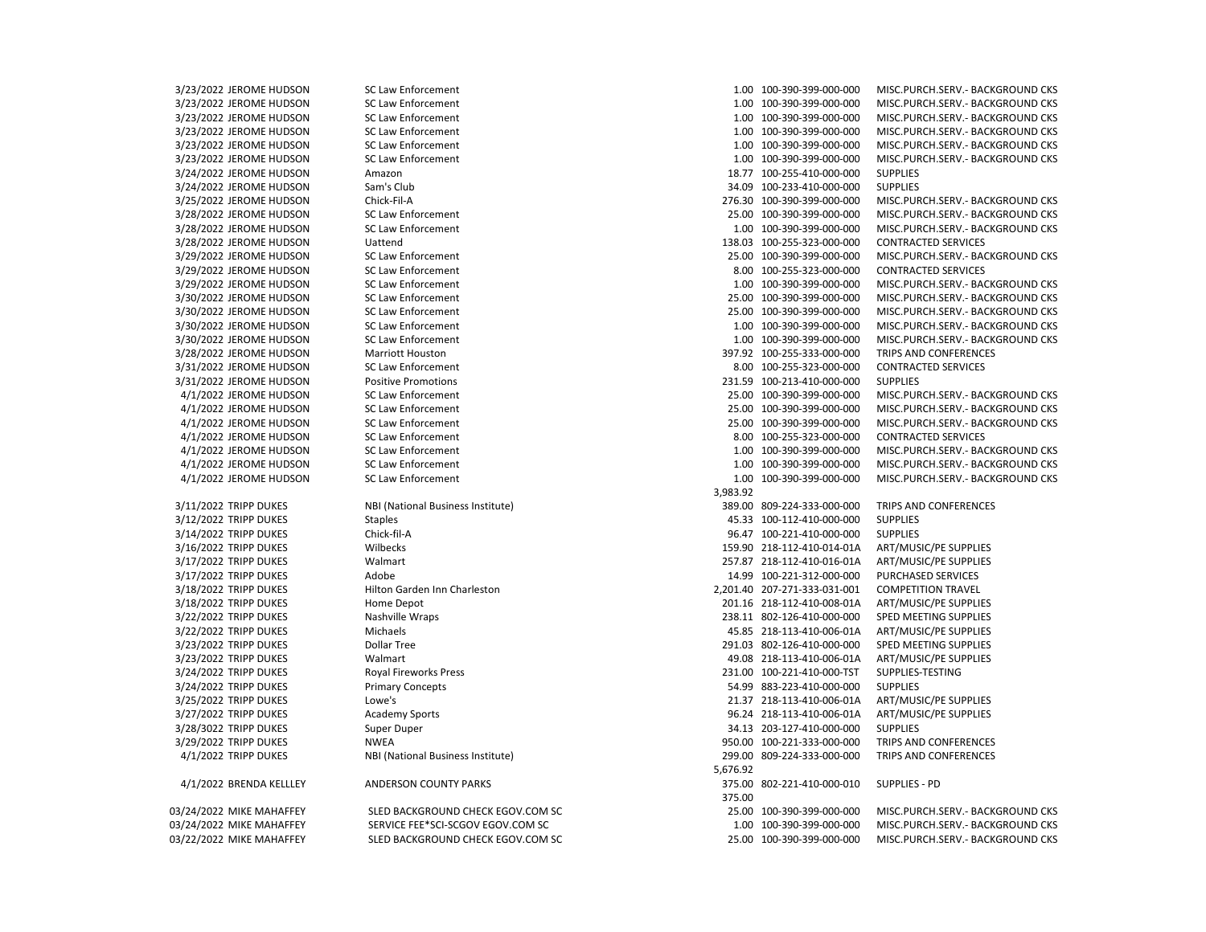3/23/2022 JEROME HUDSON SC Law Enforcement 1.00 100-390-399-000-000 MISC.PURCH.SERV.- BACKGROUND CKS

03/22/2022 MIKE MAHAFFEY SLED BACKGROUND CHECK EGOV.COM SC 25.00 100-390-399-000-000 MISC.PURCH.SERV.- BACKGROUND CKS

3/23/2022 JEROME HUDSON SC Law Enforcement 1.00 100-390-399-000-000 MISC.PURCH.SERV.- BACKGROUND CKS 3/23/2022 JEROME HUDSON SC Law Enforcement 1.00 100-390-399-000-000 MISC.PURCH.SERV.- BACKGROUND CKS 3/23/2022 JEROME HUDSON SC Law Enforcement 1.00 100-390-399-000-000 MISC.PURCH.SERV.- BACKGROUND CKS 3/23/2022 JEROME HUDSON SC Law Enforcement 1.00 100-390-399-000-000 MISC.PURCH.SERV.- BACKGROUND CKS 3/23/2022 JEROME HUDSON SC Law Enforcement 1.00 100-390-399-000-000 MISC.PURCH.SERV.- BACKGROUND CKS 3/24/2022 JEROME HUDSON Amazon 18.77 100-255-410-000-000 SUPPLIES 3/24/2022 JEROME HUDSON Sam's Club 34.09 100-233-410-000-000 SUPPLIES 3/25/2022 JEROME HUDSON Chick-Fil-A 276.30 100-390-399-000-000 MISC.PURCH.SERV.- BACKGROUND CKS 3/28/2022 JEROME HUDSON SC Law Enforcement 25.00 100-390-399-000-000 MISC.PURCH.SERV.- BACKGROUND CKS 3/28/2022 JEROME HUDSON SC Law Enforcement 1.00 100-390-399-000-000 MISC.PURCH.SERV.- BACKGROUND CKS 3/28/2022 JEROME HUDSON Uattend 138.03 100-255-323-000-000 CONTRACTED SERVICES 3/29/2022 JEROME HUDSON SC Law Enforcement 25.00 100-390-399-000-000 MISC.PURCH.SERV.- BACKGROUND CKS 3/29/2022 JEROME HUDSON SC Law Enforcement 8.00 100-255-323-000-000 CONTRACTED SERVICES 3/29/2022 JEROME HUDSON SC Law Enforcement 1.00 100-390-399-000-000 MISC.PURCH.SERV.- BACKGROUND CKS 3/30/2022 JEROME HUDSON SC Law Enforcement 25.00 100-390-399-000-000 MISC.PURCH.SERV.- BACKGROUND CKS 3/30/2022 JEROME HUDSON SC Law Enforcement 25.00 100-390-399-000-000 MISC.PURCH.SERV.- BACKGROUND CKS 3/30/2022 JEROME HUDSON SC Law Enforcement 1.00 100-390-399-000-000 MISC.PURCH.SERV.- BACKGROUND CKS 3/30/2022 JEROME HUDSON SC Law Enforcement 1.00 100-390-399-000-000 MISC.PURCH.SERV.- BACKGROUND CKS 3/28/2022 JEROME HUDSON Marriott Houston 397.92 100-255-333-000-000 TRIPS AND CONFERENCES 3/31/2022 JEROME HUDSON SC Law Enforcement 8.00 100-255-323-000-000 CONTRACTED SERVICES 3/31/2022 JEROME HUDSON Positive Promotions 231.59 100-213-410-000-000 SUPPLIES 4/1/2022 JEROME HUDSON SC Law Enforcement 25.00 100-390-399-000-000 MISC.PURCH.SERV.- BACKGROUND CKS 4/1/2022 JEROME HUDSON SC Law Enforcement 25.00 100-390-399-000-000 MISC.PURCH.SERV.- BACKGROUND CKS 4/1/2022 JEROME HUDSON SC Law Enforcement 25.00 100-390-399-000-000 MISC.PURCH.SERV.- BACKGROUND CKS 4/1/2022 JEROME HUDSON SC Law Enforcement 8.00 100-255-323-000-000 CONTRACTED SERVICES 4/1/2022 JEROME HUDSON SC Law Enforcement 1.00 100-390-399-000-000 MISC.PURCH.SERV.- BACKGROUND CKS 4/1/2022 JEROME HUDSON SC Law Enforcement 1.00 100-390-399-000-000 MISC.PURCH.SERV.- BACKGROUND CKS 4/1/2022 JEROME HUDSON SC Law Enforcement 1.00 100-390-399-000-000 MISC.PURCH.SERV.- BACKGROUND CKS 3,983.92 3/11/2022 TRIPP DUKES NBI (National Business Institute) 389.00 809-224-333-000-000 TRIPS AND CONFERENCES 3/12/2022 TRIPP DUKES Staples 45.33 100-112-410-000-000 SUPPLIES 3/14/2022 TRIPP DUKES Chick-fil-A 96.47 100-221-410-000-000 SUPPLIES 3/16/2022 TRIPP DUKES Wilbecks 159.90 218-112-410-014-01A ART/MUSIC/PE SUPPLIES 3/17/2022 TRIPP DUKES Walmart 257.87 218-112-410-016-01A ART/MUSIC/PE SUPPLIES 3/17/2022 TRIPP DUKES Adobe 14.99 100-221-312-000-000 PURCHASED SERVICES 3/18/2022 TRIPP DUKES Hilton Garden Inn Charleston 2,201.40 207-271-333-031-001 COMPETITION TRAVEL 3/18/2022 TRIPP DUKES Home Depot 201.16 218-112-410-008-01A ART/MUSIC/PE SUPPLIES 3/22/2022 TRIPP DUKES Nashville Wraps 238.11 802-126-410-000-000 SPED MEETING SUPPLIES 3/22/2022 TRIPP DUKES Michaels 45.85 218-113-410-006-01A ART/MUSIC/PE SUPPLIES 3/23/2022 TRIPP DUKES Dollar Tree 291.03 802-126-410-000-000 SPED MEETING SUPPLIES 3/23/2022 TRIPP DUKES Walmart 49.08 218-113-410-006-01A ART/MUSIC/PE SUPPLIES 3/24/2022 TRIPP DUKES Royal Fireworks Press 231.00 100-221-410-000-TST SUPPLIES-TESTING 3/24/2022 TRIPP DUKES Primary Concepts 54.99 883-223-410-000-000 SUPPLIES 3/25/2022 TRIPP DUKES Lowe's 21.37 218-113-410-006-01A ART/MUSIC/PE SUPPLIES 3/27/2022 TRIPP DUKES Academy Sports 96.24 218-113-410-006-01A ART/MUSIC/PE SUPPLIES 3/28/3022 TRIPP DUKES Super Duper 34.13 203-127-410-000-000 SUPPLIES 3/29/2022 TRIPP DUKES NWEA 950.00 100-221-333-000-000 TRIPS AND CONFERENCES 4/1/2022 TRIPP DUKES NBI (National Business Institute) 299.00 809-224-333-000-000 TRIPS AND CONFERENCES 5,676.92 4/1/2022 BRENDA KELLLEY ANDERSON COUNTY PARKS 375.00 802-221-410-000-010 SUPPLIES - PD 375.00 03/24/2022 MIKE MAHAFFEY SLED BACKGROUND CHECK EGOV.COM SC 25.00 25.00 100-390-399-000-000 MISC.PURCH.SERV.- BACKGROUND CKS 03/24/2022 MIKE MAHAFFEY SERVICE FEE\*SCI-SCGOV EGOV.COM SC 1.00 100-390-399-000-000 MISC.PURCH.SERV.- BACKGROUND CKS